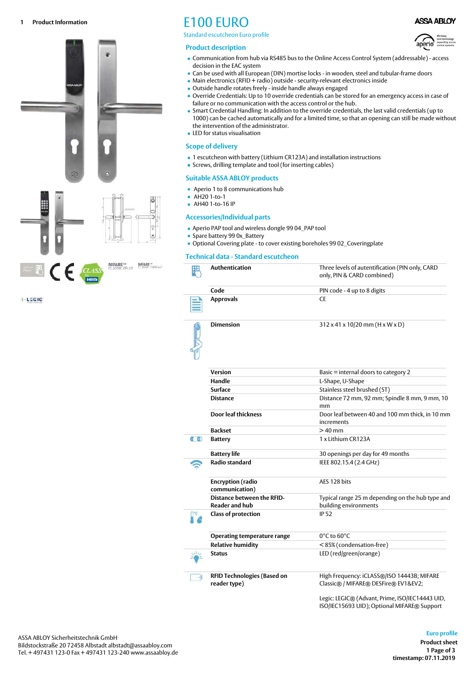

**E-LEGIC** 

Standard escutcheon Euro profile

#### **Product description**



**ASSA ABLOY** 

- Communication from hub via RS485 bus to the Online Access Control System (addressable) access decision in the EAC system
- Can be used with all European (DIN) mortise locks in wooden, steel and tubular-frame doors
- Main electronics (RFID + radio) outside security-relevant electronics inside
- Outside handle rotates freely inside handle always engaged
- Override Credentials: Up to 10 override credentials can be stored for an emergency access in case of failure or no communication with the access control or the hub.
- Smart Credential Handling: In addition to the override credentials, the last valid credentials (up to 1000) can be cached automatically and for a limited time, so that an opening can still be made without the intervention of the administrator.
- LED for status visualisation

#### **Scope of delivery**

- 1 escutcheon with battery (Lithium CR123A) and installation instructions
- Screws, drilling template and tool (for inserting cables)

## **Suitable ASSA ABLOY products**

- Aperio 1 to 8 communications hub
- AH20 1-to-1
- AH40 1-to-16 IP

### **Accessories/Individual parts**

- Aperio PAP tool and wireless dongle 99 04\_PAP tool
- Spare battery 99 0x\_Battery
- Optional Covering plate to cover existing boreholes 99 02\_Coveringplate

## **Technical data - Standard escutcheon**

|                      | Authentication                                             | Three levels of autentification (PIN only, CARD<br>only, PIN & CARD combined)     |
|----------------------|------------------------------------------------------------|-----------------------------------------------------------------------------------|
|                      | Code                                                       | PIN code - 4 up to 8 digits                                                       |
|                      | <b>Approvals</b>                                           | <b>CE</b>                                                                         |
|                      | <b>Dimension</b>                                           | $312 \times 41 \times 10/20$ mm (H x W x D)                                       |
|                      | <b>Version</b>                                             | Basic = internal doors to category 2                                              |
|                      | Handle                                                     | L-Shape, U-Shape                                                                  |
|                      | Surface                                                    | Stainless steel brushed (ST)                                                      |
|                      | <b>Distance</b>                                            | Distance 72 mm, 92 mm; Spindle 8 mm, 9 mm, 10<br>mm                               |
|                      | Door leaf thickness                                        | Door leaf between 40 and 100 mm thick, in 10 mm<br>increments                     |
|                      | <b>Backset</b>                                             | $>40$ mm                                                                          |
| $0 - 68$             | <b>Battery</b>                                             | 1 x Lithium CR123A                                                                |
|                      | <b>Battery life</b>                                        | 30 openings per day for 49 months                                                 |
|                      | <b>Radio standard</b>                                      | IEEE 802.15.4 (2.4 GHz)                                                           |
|                      | <b>Encryption (radio</b><br>communication)                 | AES 128 bits                                                                      |
|                      | <b>Distance between the RFID-</b><br><b>Reader and hub</b> | Typical range 25 m depending on the hub type and<br>building environments         |
|                      | <b>Class of protection</b>                                 | <b>IP 52</b>                                                                      |
|                      | <b>Operating temperature range</b>                         | $0^{\circ}$ C to 60 $^{\circ}$ C                                                  |
|                      | <b>Relative humidity</b>                                   | <85% (condensation-free)                                                          |
|                      | <b>Status</b>                                              | LED (red/green/orange)                                                            |
| $\bullet \eta \big)$ | <b>RFID Technologies (Based on</b><br>reader type)         | High Frequency: iCLASS®/ISO 14443B; MIFARE<br>Classic® / MIFARE® DESFire® EV1&EV2 |
|                      |                                                            | $1 - 21 - 1$<br>$\sim$ $\cdot$                                                    |

Legic: LEGIC® (Advant, Prime, ISO/IEC14443 UID, ISO/IEC15693 UID); Optional MIFARE® Support

### **1 Page of 3 timestamp: 07.11.2019 Euro profile Product sheet**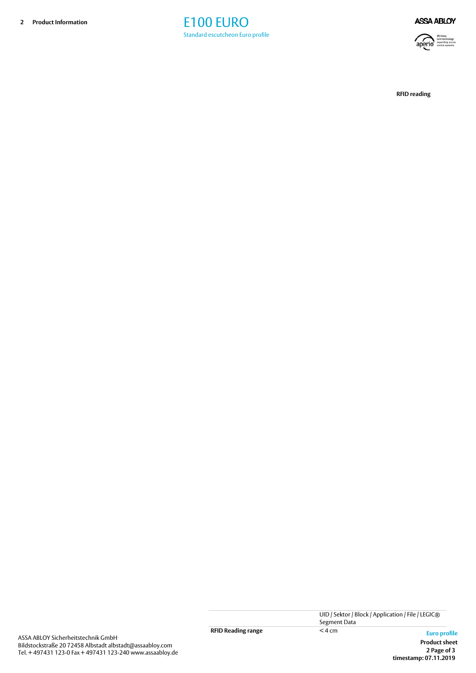



**RFID reading**

**2 Page of 3 timestamp: 07.11.2019 Product sheet**